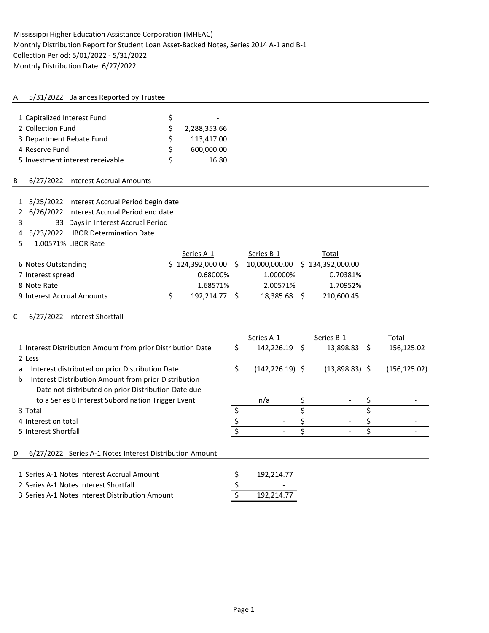# A 5/31/2022 Balances Reported by Trustee

| 1 Capitalized Interest Fund      |   |              |
|----------------------------------|---|--------------|
| 2 Collection Fund                |   | 2,288,353.66 |
| 3 Department Rebate Fund         |   | 113.417.00   |
| 4 Reserve Fund                   | ς | 600.000.00   |
| 5 Investment interest receivable | ς | 16.80        |

## B 6/27/2022 Interest Accrual Amounts

| 5/25/2022 Interest Accrual Period begin date<br>1<br>6/26/2022 Interest Accrual Period end date<br>2<br>33 Days in Interest Accrual Period<br>3<br>5/23/2022 LIBOR Determination Date<br>4 |                     |               |                    |                         |                  |                         |               |
|--------------------------------------------------------------------------------------------------------------------------------------------------------------------------------------------|---------------------|---------------|--------------------|-------------------------|------------------|-------------------------|---------------|
| 1.00571% LIBOR Rate<br>5                                                                                                                                                                   |                     |               |                    |                         |                  |                         |               |
|                                                                                                                                                                                            | Series A-1          |               | Series B-1         |                         | Total            |                         |               |
| 6 Notes Outstanding                                                                                                                                                                        | \$124,392,000.00    | Ŝ.            | 10,000,000.00      |                         | \$134,392,000.00 |                         |               |
| 7 Interest spread                                                                                                                                                                          | 0.68000%            |               | 1.00000%           |                         | 0.70381%         |                         |               |
| 8 Note Rate                                                                                                                                                                                | 1.68571%            |               | 2.00571%           |                         | 1.70952%         |                         |               |
| 9 Interest Accrual Amounts                                                                                                                                                                 | \$<br>192,214.77 \$ |               | 18,385.68 \$       |                         | 210,600.45       |                         |               |
| С<br>6/27/2022 Interest Shortfall                                                                                                                                                          |                     |               |                    |                         |                  |                         |               |
|                                                                                                                                                                                            |                     |               | Series A-1         |                         | Series B-1       |                         | Total         |
| 1 Interest Distribution Amount from prior Distribution Date                                                                                                                                |                     | \$            | 142,226.19 \$      |                         | 13,898.83 \$     |                         | 156,125.02    |
| 2 Less:                                                                                                                                                                                    |                     |               |                    |                         |                  |                         |               |
| Interest distributed on prior Distribution Date<br>a                                                                                                                                       |                     | \$            | $(142, 226.19)$ \$ |                         | $(13,898.83)$ \$ |                         | (156, 125.02) |
| Interest Distribution Amount from prior Distribution<br>b                                                                                                                                  |                     |               |                    |                         |                  |                         |               |
| Date not distributed on prior Distribution Date due                                                                                                                                        |                     |               |                    |                         |                  |                         |               |
| to a Series B Interest Subordination Trigger Event                                                                                                                                         |                     |               | n/a                |                         |                  | \$                      |               |
| 3 Total                                                                                                                                                                                    |                     | \$            |                    | $\overline{\mathsf{s}}$ |                  | $\overline{\xi}$        |               |
| 4 Interest on total                                                                                                                                                                        |                     | $\frac{1}{2}$ |                    |                         |                  |                         |               |
| 5 Interest Shortfall                                                                                                                                                                       |                     | \$            |                    | \$                      |                  | $\overline{\mathsf{S}}$ |               |
| D<br>6/27/2022 Series A-1 Notes Interest Distribution Amount                                                                                                                               |                     |               |                    |                         |                  |                         |               |
| 1 Series A-1 Notes Interest Accrual Amount                                                                                                                                                 |                     | \$            | 192,214.77         |                         |                  |                         |               |
| 2 Series A-1 Notes Interest Shortfall                                                                                                                                                      |                     | \$            |                    |                         |                  |                         |               |
| 3 Series A-1 Notes Interest Distribution Amount                                                                                                                                            |                     |               | 192,214.77         |                         |                  |                         |               |
|                                                                                                                                                                                            |                     |               |                    |                         |                  |                         |               |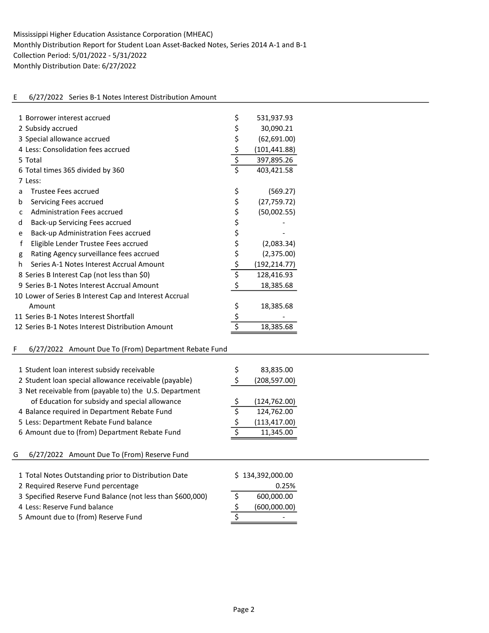# E 6/27/2022 Series B-1 Notes Interest Distribution Amount

| 1 Borrower interest accrued                                | \$               | 531,937.93               |
|------------------------------------------------------------|------------------|--------------------------|
| 2 Subsidy accrued                                          | \$               | 30,090.21                |
| 3 Special allowance accrued                                | \$               | (62, 691.00)             |
| 4 Less: Consolidation fees accrued                         | $\frac{5}{5}$    | (101, 441.88)            |
| 5 Total                                                    |                  | 397,895.26               |
| 6 Total times 365 divided by 360                           | $\overline{\xi}$ | 403,421.58               |
| 7 Less:                                                    |                  |                          |
| Trustee Fees accrued<br>a                                  | \$               | (569.27)                 |
| Servicing Fees accrued<br>b                                | \$               | (27, 759.72)             |
| Administration Fees accrued<br>C                           | \$               | (50,002.55)              |
| Back-up Servicing Fees accrued<br>d                        | \$               |                          |
| Back-up Administration Fees accrued<br>e                   | \$               |                          |
| $\mathsf f$<br>Eligible Lender Trustee Fees accrued        | \$               | (2,083.34)               |
| Rating Agency surveillance fees accrued<br>g               | \$               | (2,375.00)               |
| Series A-1 Notes Interest Accrual Amount<br>h              | $\frac{1}{2}$    | (192, 214.77)            |
| 8 Series B Interest Cap (not less than \$0)                | $\overline{\xi}$ | 128,416.93               |
| 9 Series B-1 Notes Interest Accrual Amount                 | \$               | 18,385.68                |
| 10 Lower of Series B Interest Cap and Interest Accrual     |                  |                          |
| Amount                                                     | \$               | 18,385.68                |
| 11 Series B-1 Notes Interest Shortfall                     | \$               |                          |
| 12 Series B-1 Notes Interest Distribution Amount           | $\overline{\xi}$ | 18,385.68                |
|                                                            |                  |                          |
| F<br>6/27/2022 Amount Due To (From) Department Rebate Fund |                  |                          |
|                                                            |                  |                          |
| 1 Student loan interest subsidy receivable                 | \$               | 83,835.00                |
| 2 Student loan special allowance receivable (payable)      | \$               | (208, 597.00)            |
| 3 Net receivable from (payable to) the U.S. Department     |                  |                          |
| of Education for subsidy and special allowance             |                  | (124, 762.00)            |
| 4 Balance required in Department Rebate Fund               | $rac{\xi}{\xi}$  | 124,762.00               |
| 5 Less: Department Rebate Fund balance                     |                  | (113, 417.00)            |
| 6 Amount due to (from) Department Rebate Fund              | $\frac{5}{5}$    | 11,345.00                |
|                                                            |                  |                          |
| 6/27/2022 Amount Due To (From) Reserve Fund<br>G           |                  |                          |
|                                                            |                  |                          |
| 1 Total Notes Outstanding prior to Distribution Date       |                  | \$134,392,000.00         |
| 2 Required Reserve Fund percentage                         |                  | 0.25%                    |
| 3 Specified Reserve Fund Balance (not less than \$600,000) | \$               | 600,000.00               |
| 4 Less: Reserve Fund balance                               |                  | (600,000.00)             |
| 5 Amount due to (from) Reserve Fund                        | $rac{5}{5}$      | $\overline{\phantom{a}}$ |
|                                                            |                  |                          |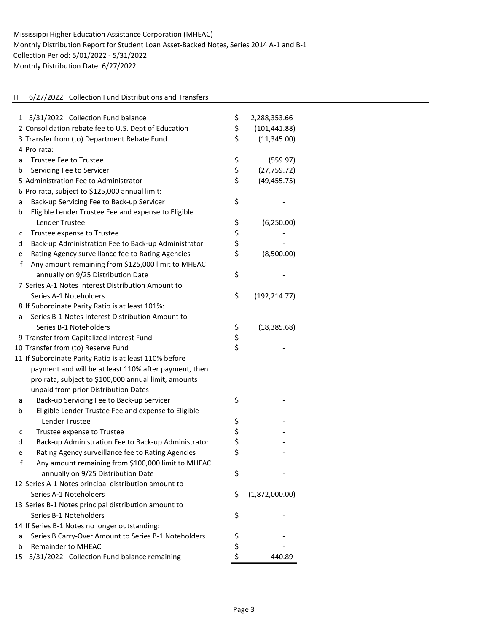# H 6/27/2022 Collection Fund Distributions and Transfers

| 1 5/31/2022 Collection Fund balance                           | \$          | 2,288,353.66   |
|---------------------------------------------------------------|-------------|----------------|
| 2 Consolidation rebate fee to U.S. Dept of Education          | \$          | (101, 441.88)  |
| 3 Transfer from (to) Department Rebate Fund                   | \$          | (11, 345.00)   |
| 4 Pro rata:                                                   |             |                |
| <b>Trustee Fee to Trustee</b><br>a                            | \$          | (559.97)       |
| Servicing Fee to Servicer<br>b                                | \$          | (27, 759.72)   |
| 5 Administration Fee to Administrator                         | \$          | (49, 455.75)   |
| 6 Pro rata, subject to \$125,000 annual limit:                |             |                |
| Back-up Servicing Fee to Back-up Servicer<br>a                | \$          |                |
| Eligible Lender Trustee Fee and expense to Eligible<br>b      |             |                |
| Lender Trustee                                                | \$          | (6, 250.00)    |
| Trustee expense to Trustee<br>с                               | \$          |                |
| Back-up Administration Fee to Back-up Administrator<br>d      | \$          |                |
| Rating Agency surveillance fee to Rating Agencies<br>e        | \$          | (8,500.00)     |
| f<br>Any amount remaining from \$125,000 limit to MHEAC       |             |                |
| annually on 9/25 Distribution Date                            | \$          |                |
| 7 Series A-1 Notes Interest Distribution Amount to            |             |                |
| Series A-1 Noteholders                                        | \$          | (192, 214.77)  |
| 8 If Subordinate Parity Ratio is at least 101%:               |             |                |
| Series B-1 Notes Interest Distribution Amount to<br>a         |             |                |
| Series B-1 Noteholders                                        |             | (18, 385.68)   |
| 9 Transfer from Capitalized Interest Fund                     | \$<br>\$    |                |
| 10 Transfer from (to) Reserve Fund                            | \$          |                |
| 11 If Subordinate Parity Ratio is at least 110% before        |             |                |
| payment and will be at least 110% after payment, then         |             |                |
| pro rata, subject to \$100,000 annual limit, amounts          |             |                |
| unpaid from prior Distribution Dates:                         |             |                |
| Back-up Servicing Fee to Back-up Servicer                     | \$          |                |
| a<br>Eligible Lender Trustee Fee and expense to Eligible<br>b |             |                |
| <b>Lender Trustee</b>                                         |             |                |
| Trustee expense to Trustee<br>с                               | \$ \$ \$ \$ |                |
| Back-up Administration Fee to Back-up Administrator<br>d      |             |                |
| Rating Agency surveillance fee to Rating Agencies<br>е        |             |                |
| f<br>Any amount remaining from \$100,000 limit to MHEAC       |             |                |
| annually on 9/25 Distribution Date                            | \$          |                |
| 12 Series A-1 Notes principal distribution amount to          |             |                |
| Series A-1 Noteholders                                        | \$          | (1,872,000.00) |
| 13 Series B-1 Notes principal distribution amount to          |             |                |
| Series B-1 Noteholders                                        | \$          |                |
| 14 If Series B-1 Notes no longer outstanding:                 |             |                |
| Series B Carry-Over Amount to Series B-1 Noteholders<br>a     | \$          |                |
| Remainder to MHEAC<br>b                                       | \$          |                |
| 5/31/2022 Collection Fund balance remaining<br>15             | \$          | 440.89         |
|                                                               |             |                |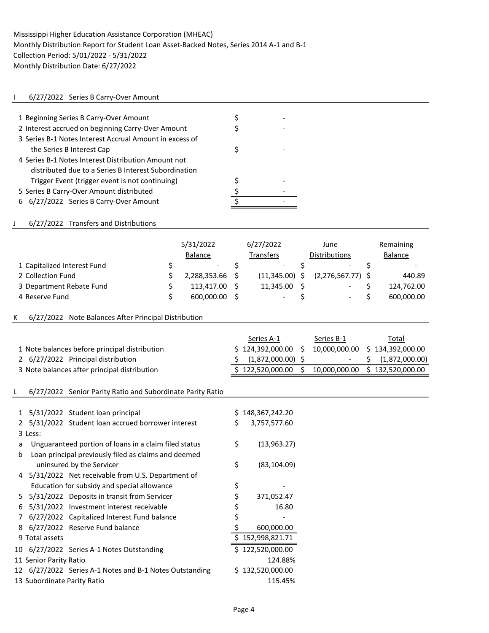## I 6/27/2022 Series B Carry-Over Amount

| 1 Beginning Series B Carry-Over Amount                  |  |
|---------------------------------------------------------|--|
| 2 Interest accrued on beginning Carry-Over Amount       |  |
| 3 Series B-1 Notes Interest Accrual Amount in excess of |  |
| the Series B Interest Cap                               |  |
| 4 Series B-1 Notes Interest Distribution Amount not     |  |
| distributed due to a Series B Interest Subordination    |  |
| Trigger Event (trigger event is not continuing)         |  |
| 5 Series B Carry-Over Amount distributed                |  |
| 6 6/27/2022 Series B Carry-Over Amount                  |  |

## J 6/27/2022 Transfers and Distributions

|                             | 5/31/2022<br><b>Balance</b> | 6/27/2022<br>Transfers   | June<br><b>Distributions</b> | Remaining<br><b>Balance</b> |
|-----------------------------|-----------------------------|--------------------------|------------------------------|-----------------------------|
| 1 Capitalized Interest Fund | $\overline{\phantom{a}}$    | $\overline{\phantom{a}}$ | $\overline{\phantom{a}}$     |                             |
| 2 Collection Fund           | 2,288,353.66                | $(11,345.00)$ \$         | $(2,276,567.77)$ \$          | 440.89                      |
| 3 Department Rebate Fund    | 113.417.00                  | 11,345.00                | $\overline{\phantom{a}}$     | 124,762.00                  |
| 4 Reserve Fund              | 600,000.00                  | $\overline{\phantom{0}}$ | -                            | 600,000.00                  |

#### K 6/27/2022 Note Balances After Principal Distribution

|                                               | Series A-1       | Series B-1    | Total                 |
|-----------------------------------------------|------------------|---------------|-----------------------|
| 1 Note balances before principal distribution | \$124.392.000.00 | 10,000,000.00 | \$134,392,000.00      |
| 2 6/27/2022 Principal distribution            | \$(1,872,000.00) |               | $-$ \$ (1,872,000.00) |
| 3 Note balances after principal distribution  | \$122,520,000,00 | 10,000,000.00 | \$132,520,000.00      |

#### L 6/27/2022 Senior Parity Ratio and Subordinate Parity Ratio

| $\mathbf{1}$  |                             | 5/31/2022 Student loan principal                        | S  | 148,367,242.20   |
|---------------|-----------------------------|---------------------------------------------------------|----|------------------|
| $\mathcal{P}$ |                             | 5/31/2022 Student loan accrued borrower interest        | \$ | 3,757,577.60     |
|               | 3 Less:                     |                                                         |    |                  |
| a             |                             | Unguaranteed portion of loans in a claim filed status   | \$ | (13, 963.27)     |
| b             |                             | Loan principal previously filed as claims and deemed    |    |                  |
|               |                             | uninsured by the Servicer                               | \$ | (83, 104.09)     |
|               |                             | 4 5/31/2022 Net receivable from U.S. Department of      |    |                  |
|               |                             | Education for subsidy and special allowance             | \$ |                  |
| 5.            |                             | 5/31/2022 Deposits in transit from Servicer             | \$ | 371,052.47       |
| 6             |                             | 5/31/2022 Investment interest receivable                | \$ | 16.80            |
| 7             |                             | 6/27/2022 Capitalized Interest Fund balance             | \$ |                  |
| 8             |                             | 6/27/2022 Reserve Fund balance                          | \$ | 600,000.00       |
|               | 9 Total assets              |                                                         |    | \$152,998,821.71 |
|               |                             | 10 6/27/2022 Series A-1 Notes Outstanding               |    | \$122,520,000.00 |
|               | 11 Senior Parity Ratio      |                                                         |    | 124.88%          |
|               |                             | 12 6/27/2022 Series A-1 Notes and B-1 Notes Outstanding | S. | 132,520,000.00   |
|               | 13 Subordinate Parity Ratio |                                                         |    | 115.45%          |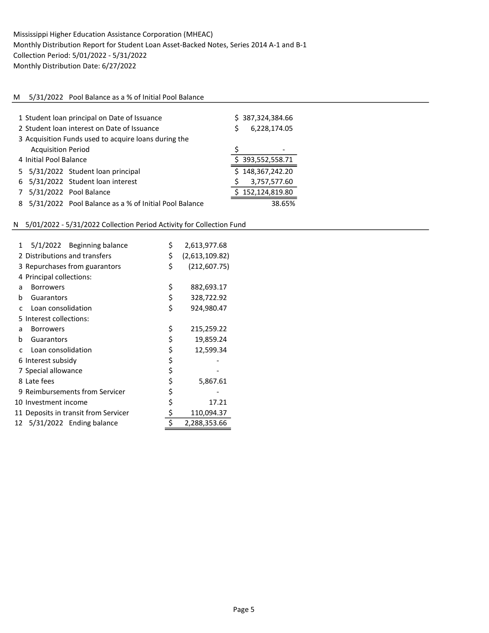## M 5/31/2022 Pool Balance as a % of Initial Pool Balance

| 1 Student loan principal on Date of Issuance<br>2 Student loan interest on Date of Issuance<br>3 Acquisition Funds used to acquire loans during the | Ś                                                     | \$387,324,384.66<br>6,228,174.05 |                  |
|-----------------------------------------------------------------------------------------------------------------------------------------------------|-------------------------------------------------------|----------------------------------|------------------|
| <b>Acquisition Period</b>                                                                                                                           |                                                       |                                  |                  |
| 4 Initial Pool Balance                                                                                                                              |                                                       |                                  | \$393,552,558.71 |
|                                                                                                                                                     | 5 5/31/2022 Student loan principal                    |                                  | \$148,367,242.20 |
|                                                                                                                                                     | 6 5/31/2022 Student loan interest                     |                                  | 3,757,577.60     |
|                                                                                                                                                     | 5/31/2022 Pool Balance                                |                                  | \$152,124,819.80 |
|                                                                                                                                                     | 5/31/2022 Pool Balance as a % of Initial Pool Balance |                                  | 38.65%           |

# N 5/01/2022 - 5/31/2022 Collection Period Activity for Collection Fund

| $\mathbf{1}$ | 5/1/2022 Beginning balance           | \$<br>2,613,977.68   |
|--------------|--------------------------------------|----------------------|
|              | 2 Distributions and transfers        | \$<br>(2,613,109.82) |
|              | 3 Repurchases from guarantors        | \$<br>(212, 607.75)  |
|              | 4 Principal collections:             |                      |
| a            | <b>Borrowers</b>                     | \$<br>882,693.17     |
| h            | Guarantors                           | \$<br>328,722.92     |
| C            | Loan consolidation                   | \$<br>924,980.47     |
| 5            | Interest collections:                |                      |
| a            | <b>Borrowers</b>                     | \$<br>215,259.22     |
| b            | Guarantors                           | \$<br>19,859.24      |
| C            | Loan consolidation                   | \$<br>12,599.34      |
|              | 6 Interest subsidy                   | \$                   |
|              | 7 Special allowance                  | \$                   |
|              | 8 Late fees                          | \$<br>5,867.61       |
|              | 9 Reimbursements from Servicer       | \$                   |
|              | 10 Investment income                 | \$<br>17.21          |
|              | 11 Deposits in transit from Servicer | \$<br>110,094.37     |
|              | 12 5/31/2022 Ending balance          | \$<br>2,288,353.66   |
|              |                                      |                      |